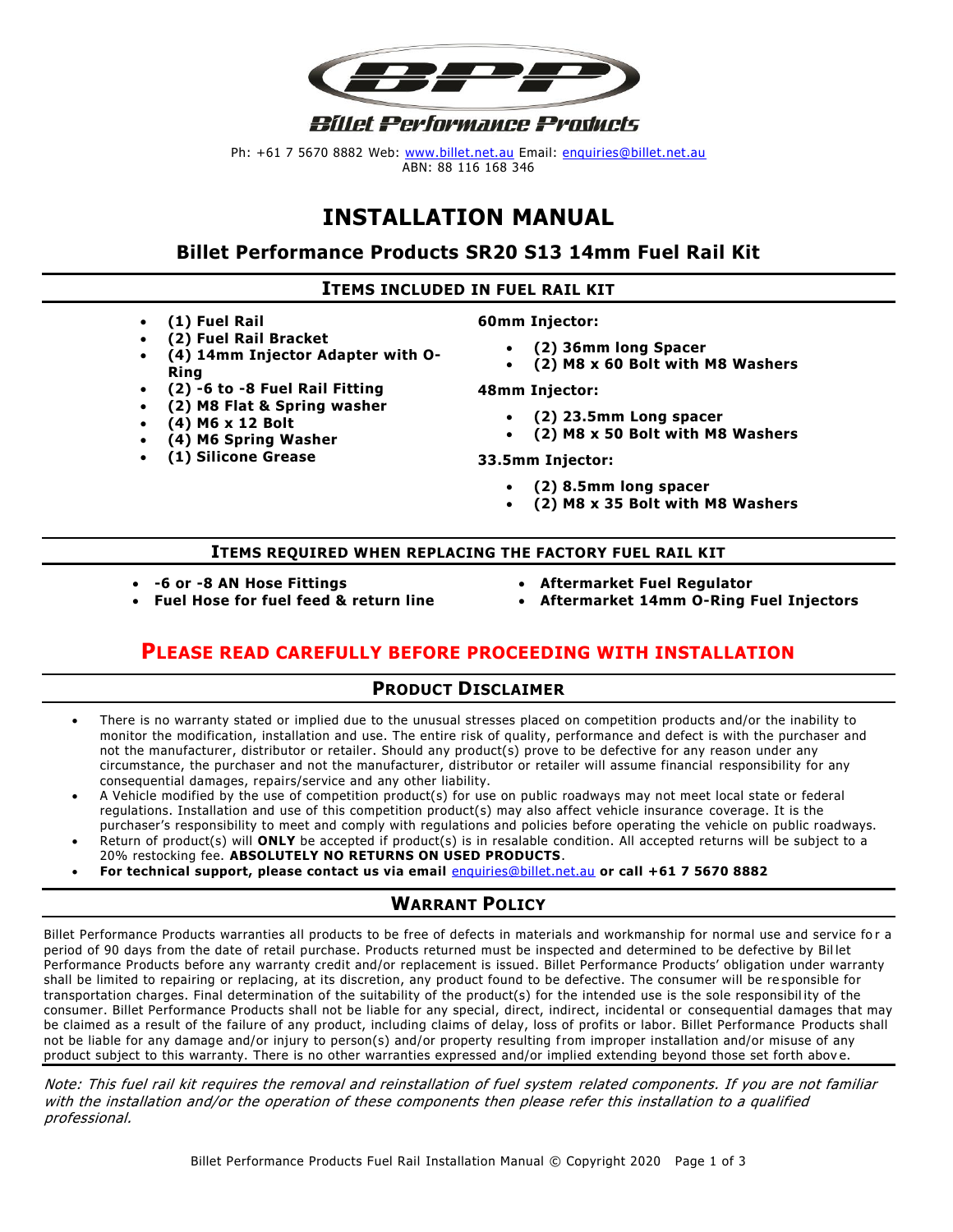

Ph: +61 7 5670 8882 Web: [www.billet.net.au](http://www.billet.net.au/) Email: [enquiries@billet.net.au](mailto:enquiries@billet.net.au) ABN: 88 116 168 346

# **INSTALLATION MANUAL**

#### **Billet Performance Products SR20 S13 14mm Fuel Rail Kit**

#### **ITEMS INCLUDED IN FUEL RAIL KIT**

- **(1) Fuel Rail**
- **(2) Fuel Rail Bracket**
- **(4) 14mm Injector Adapter with O-Ring**
- **(2) -6 to -8 Fuel Rail Fitting**
- **(2) M8 Flat & Spring washer**
- **(4) M6 x 12 Bolt**
- **(4) M6 Spring Washer**
- **(1) Silicone Grease**

#### **60mm Injector:**

- **(2) 36mm long Spacer**
- **(2) M8 x 60 Bolt with M8 Washers**

**48mm Injector:**

- **(2) 23.5mm Long spacer**
- **(2) M8 x 50 Bolt with M8 Washers**

**33.5mm Injector:**

- **(2) 8.5mm long spacer**
- **(2) M8 x 35 Bolt with M8 Washers**

#### **ITEMS REQUIRED WHEN REPLACING THE FACTORY FUEL RAIL KIT**

• **-6 or -8 AN Hose Fittings**

- **Aftermarket Fuel Regulator**
- **Aftermarket 14mm O-Ring Fuel Injectors**

## **PLEASE READ CAREFULLY BEFORE PROCEEDING WITH INSTALLATION**

#### **PRODUCT DISCLAIMER**

- There is no warranty stated or implied due to the unusual stresses placed on competition products and/or the inability to monitor the modification, installation and use. The entire risk of quality, performance and defect is with the purchaser and not the manufacturer, distributor or retailer. Should any product(s) prove to be defective for any reason under any circumstance, the purchaser and not the manufacturer, distributor or retailer will assume financial responsibility for any consequential damages, repairs/service and any other liability.
- A Vehicle modified by the use of competition product(s) for use on public roadways may not meet local state or federal regulations. Installation and use of this competition product(s) may also affect vehicle insurance coverage. It is the purchaser's responsibility to meet and comply with regulations and policies before operating the vehicle on public roadways.
- Return of product(s) will **ONLY** be accepted if product(s) is in resalable condition. All accepted returns will be subject to a 20% restocking fee. **ABSOLUTELY NO RETURNS ON USED PRODUCTS**.
- **For technical support, please contact us via email** [enquiries@billet.net.au](mailto:enquiries@billet.net.au) **or call +61 7 5670 8882**

#### **WARRANT POLICY**

Billet Performance Products warranties all products to be free of defects in materials and workmanship for normal use and service fo r a period of 90 days from the date of retail purchase. Products returned must be inspected and determined to be defective by Bil let Performance Products before any warranty credit and/or replacement is issued. Billet Performance Products' obligation under warranty shall be limited to repairing or replacing, at its discretion, any product found to be defective. The consumer will be re sponsible for transportation charges. Final determination of the suitability of the product(s) for the intended use is the sole responsibil ity of the consumer. Billet Performance Products shall not be liable for any special, direct, indirect, incidental or consequential damages that may be claimed as a result of the failure of any product, including claims of delay, loss of profits or labor. Billet Performance Products shall not be liable for any damage and/or injury to person(s) and/or property resulting from improper installation and/or misuse of any product subject to this warranty. There is no other warranties expressed and/or implied extending beyond those set forth abov e.

Note: This fuel rail kit requires the removal and reinstallation of fuel system related components. If you are not familiar with the installation and/or the operation of these components then please refer this installation to a qualified professional.

# • **Fuel Hose for fuel feed & return line**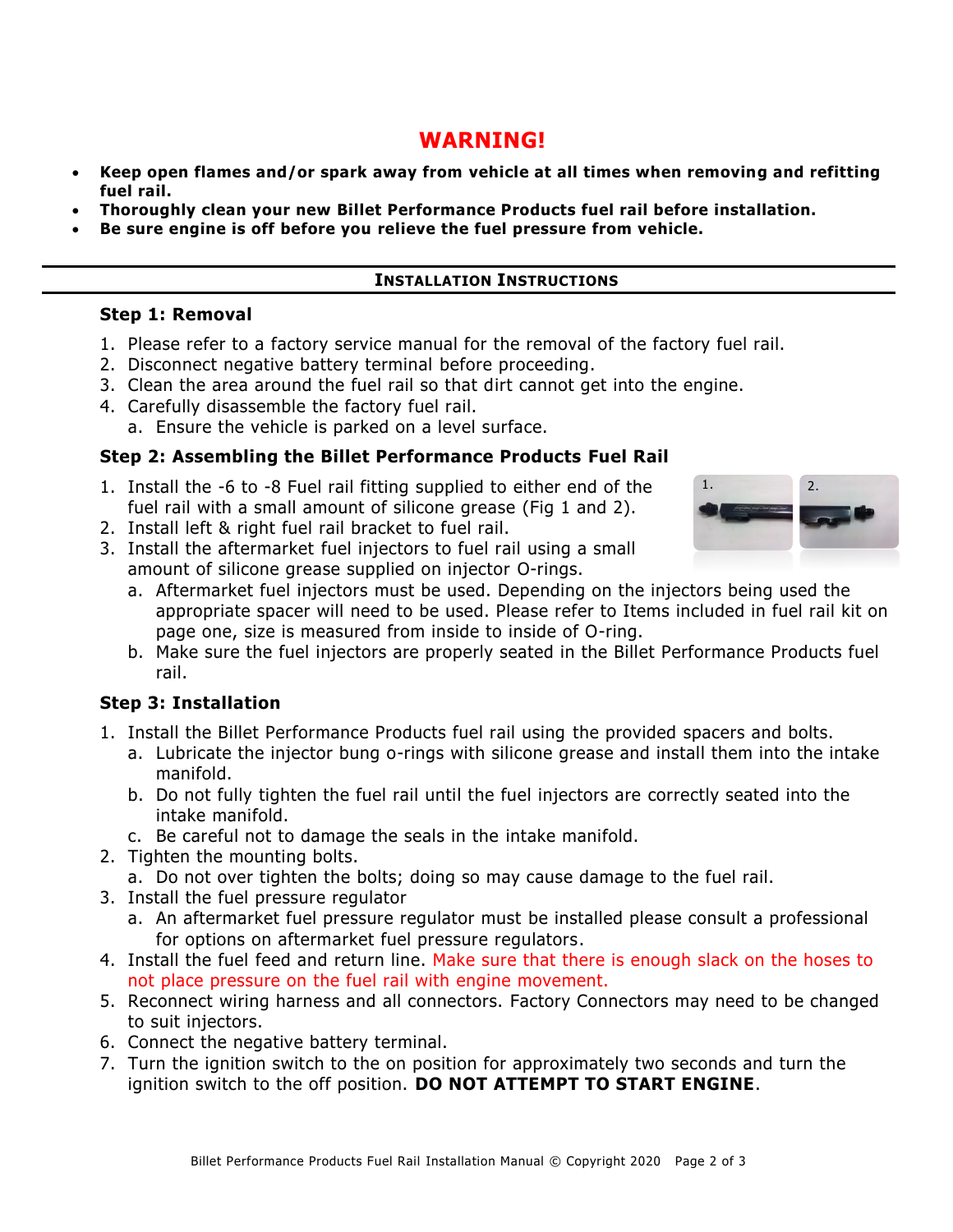## **WARNING!**

- **Keep open flames and/or spark away from vehicle at all times when removing and refitting fuel rail.**
- **Thoroughly clean your new Billet Performance Products fuel rail before installation.**
- **Be sure engine is off before you relieve the fuel pressure from vehicle.**

#### **INSTALLATION INSTRUCTIONS**

#### **Step 1: Removal**

- 1. Please refer to a factory service manual for the removal of the factory fuel rail.
- 2. Disconnect negative battery terminal before proceeding.
- 3. Clean the area around the fuel rail so that dirt cannot get into the engine.
- 4. Carefully disassemble the factory fuel rail. a. Ensure the vehicle is parked on a level surface.

### **Step 2: Assembling the Billet Performance Products Fuel Rail**

- 1. Install the -6 to -8 Fuel rail fitting supplied to either end of the fuel rail with a small amount of silicone grease (Fig 1 and 2).
- 2. Install left & right fuel rail bracket to fuel rail.
- 3. Install the aftermarket fuel injectors to fuel rail using a small amount of silicone grease supplied on injector O-rings.



- a. Aftermarket fuel injectors must be used. Depending on the injectors being used the appropriate spacer will need to be used. Please refer to Items included in fuel rail kit on page one, size is measured from inside to inside of O-ring.
- b. Make sure the fuel injectors are properly seated in the Billet Performance Products fuel rail.

## **Step 3: Installation**

- 1. Install the Billet Performance Products fuel rail using the provided spacers and bolts.
	- a. Lubricate the injector bung o-rings with silicone grease and install them into the intake manifold.
	- b. Do not fully tighten the fuel rail until the fuel injectors are correctly seated into the intake manifold.
	- c. Be careful not to damage the seals in the intake manifold.
- 2. Tighten the mounting bolts.
	- a. Do not over tighten the bolts; doing so may cause damage to the fuel rail.
- 3. Install the fuel pressure regulator
	- a. An aftermarket fuel pressure regulator must be installed please consult a professional for options on aftermarket fuel pressure regulators.
- 4. Install the fuel feed and return line. Make sure that there is enough slack on the hoses to not place pressure on the fuel rail with engine movement.
- 5. Reconnect wiring harness and all connectors. Factory Connectors may need to be changed to suit injectors.
- 6. Connect the negative battery terminal.
- 7. Turn the ignition switch to the on position for approximately two seconds and turn the ignition switch to the off position. **DO NOT ATTEMPT TO START ENGINE**.